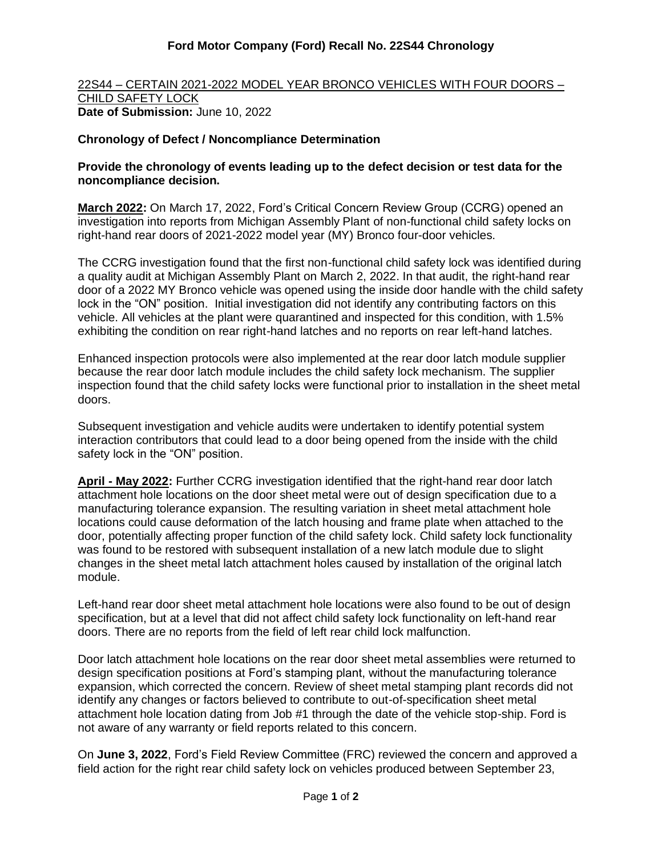## **Ford Motor Company (Ford) Recall No. 22S44 Chronology**

22S44 – CERTAIN 2021-2022 MODEL YEAR BRONCO VEHICLES WITH FOUR DOORS – CHILD SAFETY LOCK **Date of Submission:** June 10, 2022

## **Chronology of Defect / Noncompliance Determination**

## **Provide the chronology of events leading up to the defect decision or test data for the noncompliance decision.**

**March 2022:** On March 17, 2022, Ford's Critical Concern Review Group (CCRG) opened an investigation into reports from Michigan Assembly Plant of non-functional child safety locks on right-hand rear doors of 2021-2022 model year (MY) Bronco four-door vehicles.

The CCRG investigation found that the first non-functional child safety lock was identified during a quality audit at Michigan Assembly Plant on March 2, 2022. In that audit, the right-hand rear door of a 2022 MY Bronco vehicle was opened using the inside door handle with the child safety lock in the "ON" position. Initial investigation did not identify any contributing factors on this vehicle. All vehicles at the plant were quarantined and inspected for this condition, with 1.5% exhibiting the condition on rear right-hand latches and no reports on rear left-hand latches.

Enhanced inspection protocols were also implemented at the rear door latch module supplier because the rear door latch module includes the child safety lock mechanism. The supplier inspection found that the child safety locks were functional prior to installation in the sheet metal doors.

Subsequent investigation and vehicle audits were undertaken to identify potential system interaction contributors that could lead to a door being opened from the inside with the child safety lock in the "ON" position.

**April - May 2022:** Further CCRG investigation identified that the right-hand rear door latch attachment hole locations on the door sheet metal were out of design specification due to a manufacturing tolerance expansion. The resulting variation in sheet metal attachment hole locations could cause deformation of the latch housing and frame plate when attached to the door, potentially affecting proper function of the child safety lock. Child safety lock functionality was found to be restored with subsequent installation of a new latch module due to slight changes in the sheet metal latch attachment holes caused by installation of the original latch module.

Left-hand rear door sheet metal attachment hole locations were also found to be out of design specification, but at a level that did not affect child safety lock functionality on left-hand rear doors. There are no reports from the field of left rear child lock malfunction.

Door latch attachment hole locations on the rear door sheet metal assemblies were returned to design specification positions at Ford's stamping plant, without the manufacturing tolerance expansion, which corrected the concern. Review of sheet metal stamping plant records did not identify any changes or factors believed to contribute to out-of-specification sheet metal attachment hole location dating from Job #1 through the date of the vehicle stop-ship. Ford is not aware of any warranty or field reports related to this concern.

On **June 3, 2022**, Ford's Field Review Committee (FRC) reviewed the concern and approved a field action for the right rear child safety lock on vehicles produced between September 23,